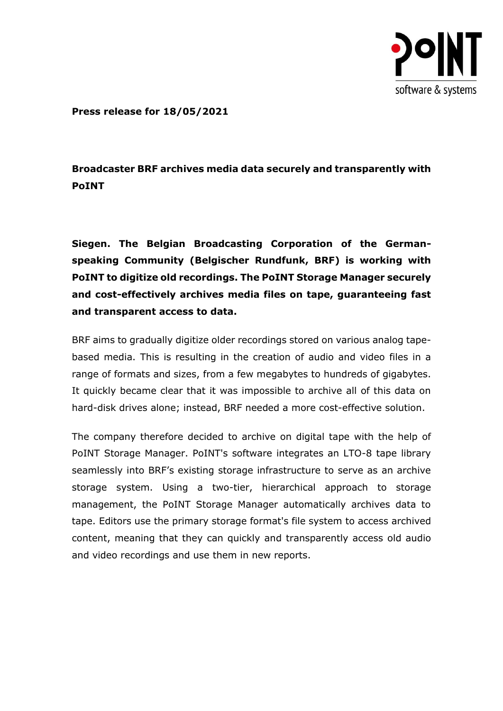

**Press release for 18/05/2021**

## **Broadcaster BRF archives media data securely and transparently with PoINT**

**Siegen. The Belgian Broadcasting Corporation of the Germanspeaking Community (Belgischer Rundfunk, BRF) is working with PoINT to digitize old recordings. The PoINT Storage Manager securely and cost-effectively archives media files on tape, guaranteeing fast and transparent access to data.**

BRF aims to gradually digitize older recordings stored on various analog tapebased media. This is resulting in the creation of audio and video files in a range of formats and sizes, from a few megabytes to hundreds of gigabytes. It quickly became clear that it was impossible to archive all of this data on hard-disk drives alone; instead, BRF needed a more cost-effective solution.

The company therefore decided to archive on digital tape with the help of PoINT Storage Manager. PoINT's software integrates an LTO-8 tape library seamlessly into BRF's existing storage infrastructure to serve as an archive storage system. Using a two-tier, hierarchical approach to storage management, the PoINT Storage Manager automatically archives data to tape. Editors use the primary storage format's file system to access archived content, meaning that they can quickly and transparently access old audio and video recordings and use them in new reports.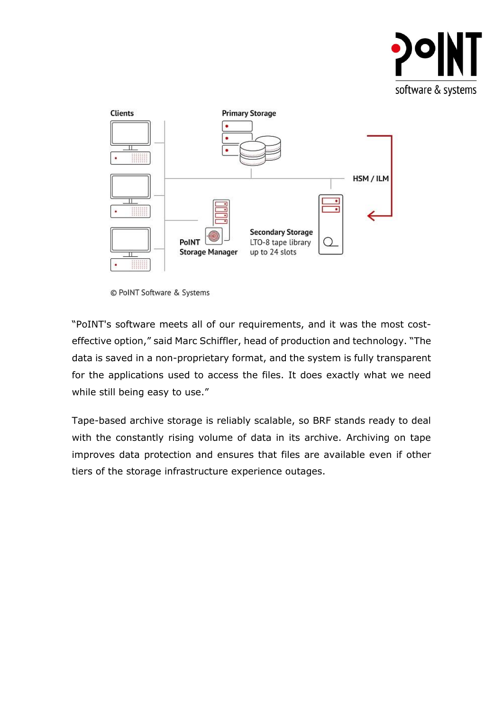



© PoINT Software & Systems

"PoINT's software meets all of our requirements, and it was the most costeffective option," said Marc Schiffler, head of production and technology. "The data is saved in a non-proprietary format, and the system is fully transparent for the applications used to access the files. It does exactly what we need while still being easy to use."

Tape-based archive storage is reliably scalable, so BRF stands ready to deal with the constantly rising volume of data in its archive. Archiving on tape improves data protection and ensures that files are available even if other tiers of the storage infrastructure experience outages.